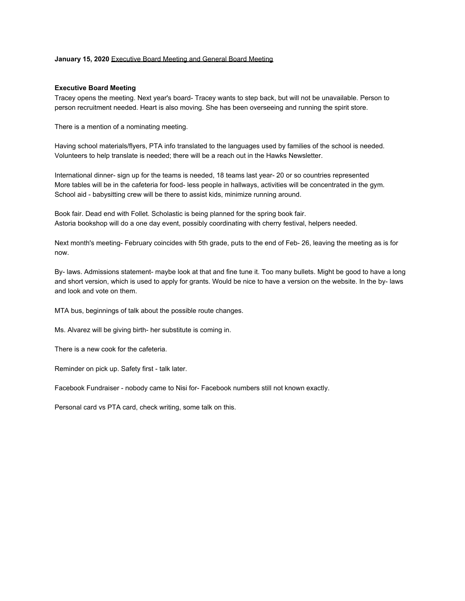## **January 15, 2020** Executive Board Meeting and General Board Meeting

## **Executive Board Meeting**

Tracey opens the meeting. Next year's board- Tracey wants to step back, but will not be unavailable. Person to person recruitment needed. Heart is also moving. She has been overseeing and running the spirit store.

There is a mention of a nominating meeting.

Having school materials/flyers, PTA info translated to the languages used by families of the school is needed. Volunteers to help translate is needed; there will be a reach out in the Hawks Newsletter.

International dinner- sign up for the teams is needed, 18 teams last year- 20 or so countries represented More tables will be in the cafeteria for food- less people in hallways, activities will be concentrated in the gym. School aid - babysitting crew will be there to assist kids, minimize running around.

Book fair. Dead end with Follet. Scholastic is being planned for the spring book fair. Astoria bookshop will do a one day event, possibly coordinating with cherry festival, helpers needed.

Next month's meeting- February coincides with 5th grade, puts to the end of Feb- 26, leaving the meeting as is for now.

By- laws. Admissions statement- maybe look at that and fine tune it. Too many bullets. Might be good to have a long and short version, which is used to apply for grants. Would be nice to have a version on the website. In the by- laws and look and vote on them.

MTA bus, beginnings of talk about the possible route changes.

Ms. Alvarez will be giving birth- her substitute is coming in.

There is a new cook for the cafeteria.

Reminder on pick up. Safety first - talk later.

Facebook Fundraiser - nobody came to Nisi for- Facebook numbers still not known exactly.

Personal card vs PTA card, check writing, some talk on this.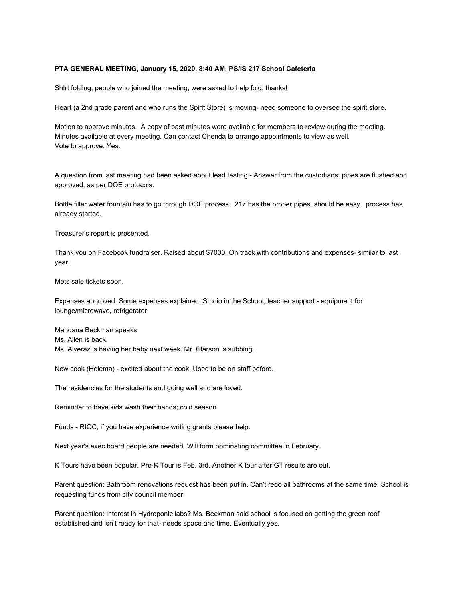## **PTA GENERAL MEETING, January 15, 2020, 8:40 AM, PS/IS 217 School Cafeteria**

ShIrt folding, people who joined the meeting, were asked to help fold, thanks!

Heart (a 2nd grade parent and who runs the Spirit Store) is moving- need someone to oversee the spirit store.

Motion to approve minutes. A copy of past minutes were available for members to review during the meeting. Minutes available at every meeting. Can contact Chenda to arrange appointments to view as well. Vote to approve, Yes.

A question from last meeting had been asked about lead testing - Answer from the custodians: pipes are flushed and approved, as per DOE protocols.

Bottle filler water fountain has to go through DOE process: 217 has the proper pipes, should be easy, process has already started.

Treasurer's report is presented.

Thank you on Facebook fundraiser. Raised about \$7000. On track with contributions and expenses- similar to last year.

Mets sale tickets soon.

Expenses approved. Some expenses explained: Studio in the School, teacher support - equipment for lounge/microwave, refrigerator

Mandana Beckman speaks Ms. Allen is back. Ms. Alveraz is having her baby next week. Mr. Clarson is subbing.

New cook (Helema) - excited about the cook. Used to be on staff before.

The residencies for the students and going well and are loved.

Reminder to have kids wash their hands; cold season.

Funds - RIOC, if you have experience writing grants please help.

Next year's exec board people are needed. Will form nominating committee in February.

K Tours have been popular. Pre-K Tour is Feb. 3rd. Another K tour after GT results are out.

Parent question: Bathroom renovations request has been put in. Can't redo all bathrooms at the same time. School is requesting funds from city council member.

Parent question: Interest in Hydroponic labs? Ms. Beckman said school is focused on getting the green roof established and isn't ready for that- needs space and time. Eventually yes.